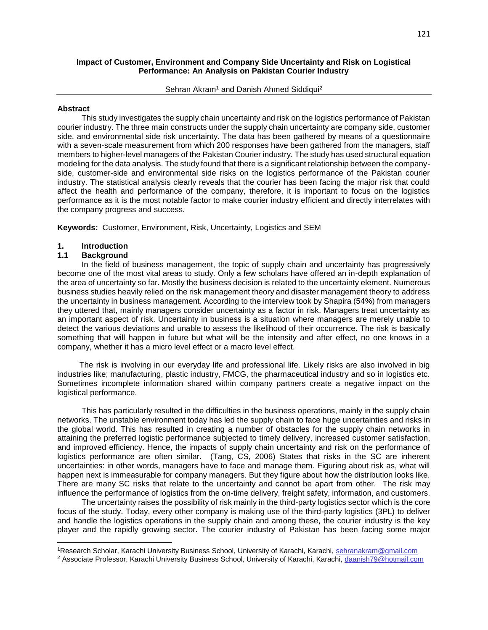#### **Impact of Customer, Environment and Company Side Uncertainty and Risk on Logistical Performance: An Analysis on Pakistan Courier Industry**

Sehran Akram<sup>1</sup> and Danish Ahmed Siddiqui<sup>2</sup>

#### **Abstract**

 This study investigates the supply chain uncertainty and risk on the logistics performance of Pakistan courier industry. The three main constructs under the supply chain uncertainty are company side, customer side, and environmental side risk uncertainty. The data has been gathered by means of a questionnaire with a seven-scale measurement from which 200 responses have been gathered from the managers, staff members to higher-level managers of the Pakistan Courier industry. The study has used structural equation modeling for the data analysis. The study found that there is a significant relationship between the companyside, customer-side and environmental side risks on the logistics performance of the Pakistan courier industry. The statistical analysis clearly reveals that the courier has been facing the major risk that could affect the health and performance of the company, therefore, it is important to focus on the logistics performance as it is the most notable factor to make courier industry efficient and directly interrelates with the company progress and success.

**Keywords:** Customer, Environment, Risk, Uncertainty, Logistics and SEM

#### **1. Introduction**

#### **1.1 Background**

 $\overline{\phantom{a}}$ 

 In the field of business management, the topic of supply chain and uncertainty has progressively become one of the most vital areas to study. Only a few scholars have offered an in-depth explanation of the area of uncertainty so far. Mostly the business decision is related to the uncertainty element. Numerous business studies heavily relied on the risk management theory and disaster management theory to address the uncertainty in business management. According to the interview took by Shapira (54%) from managers they uttered that, mainly managers consider uncertainty as a factor in risk. Managers treat uncertainty as an important aspect of risk. Uncertainty in business is a situation where managers are merely unable to detect the various deviations and unable to assess the likelihood of their occurrence. The risk is basically something that will happen in future but what will be the intensity and after effect, no one knows in a company, whether it has a micro level effect or a macro level effect.

 The risk is involving in our everyday life and professional life. Likely risks are also involved in big industries like; manufacturing, plastic industry, FMCG, the pharmaceutical industry and so in logistics etc. Sometimes incomplete information shared within company partners create a negative impact on the logistical performance.

 This has particularly resulted in the difficulties in the business operations, mainly in the supply chain networks. The unstable environment today has led the supply chain to face huge uncertainties and risks in the global world. This has resulted in creating a number of obstacles for the supply chain networks in attaining the preferred logistic performance subjected to timely delivery, increased customer satisfaction, and improved efficiency. Hence, the impacts of supply chain uncertainty and risk on the performance of logistics performance are often similar. (Tang, CS, 2006) States that risks in the SC are inherent uncertainties: in other words, managers have to face and manage them. Figuring about risk as, what will happen next is immeasurable for company managers. But they figure about how the distribution looks like. There are many SC risks that relate to the uncertainty and cannot be apart from other. The risk may influence the performance of logistics from the on-time delivery, freight safety, information, and customers.

 The uncertainty raises the possibility of risk mainly in the third-party logistics sector which is the core focus of the study. Today, every other company is making use of the third-party logistics (3PL) to deliver and handle the logistics operations in the supply chain and among these, the courier industry is the key player and the rapidly growing sector. The courier industry of Pakistan has been facing some major

<sup>1</sup>Research Scholar, Karachi University Business School, University of Karachi, Karachi, sehranakram@gmail.com

<sup>&</sup>lt;sup>2</sup> Associate Professor, Karachi University Business School, University of Karachi, Karachi, daanish79@hotmail.com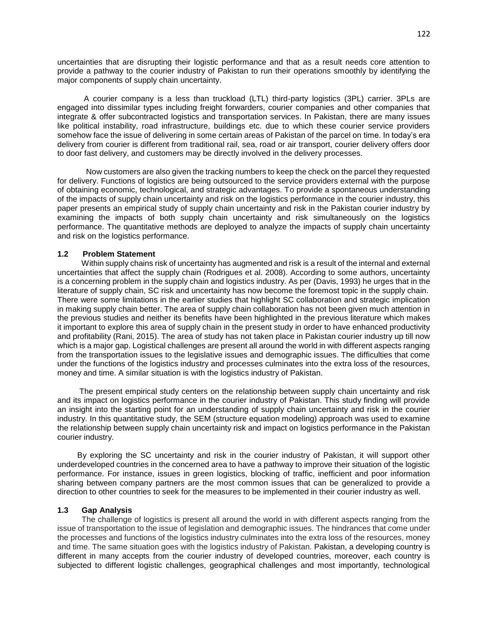uncertainties that are disrupting their logistic performance and that as a result needs core attention to provide a pathway to the courier industry of Pakistan to run their operations smoothly by identifying the major components of supply chain uncertainty.

 A courier company is a less than truckload (LTL) third-party logistics (3PL) carrier. 3PLs are engaged into dissimilar types including freight forwarders, courier companies and other companies that integrate & offer subcontracted logistics and transportation services. In Pakistan, there are many issues like political instability, road infrastructure, buildings etc. due to which these courier service providers somehow face the issue of delivering in some certain areas of Pakistan of the parcel on time. In today's era delivery from courier is different from traditional rail, sea, road or air transport, courier delivery offers door to door fast delivery, and customers may be directly involved in the delivery processes.

 Now customers are also given the tracking numbers to keep the check on the parcel they requested for delivery. Functions of logistics are being outsourced to the service providers external with the purpose of obtaining economic, technological, and strategic advantages. To provide a spontaneous understanding of the impacts of supply chain uncertainty and risk on the logistics performance in the courier industry, this paper presents an empirical study of supply chain uncertainty and risk in the Pakistan courier industry by examining the impacts of both supply chain uncertainty and risk simultaneously on the logistics performance. The quantitative methods are deployed to analyze the impacts of supply chain uncertainty and risk on the logistics performance.

#### **1.2 Problem Statement**

 Within supply chains risk of uncertainty has augmented and risk is a result of the internal and external uncertainties that affect the supply chain (Rodrigues et al. 2008). According to some authors, uncertainty is a concerning problem in the supply chain and logistics industry. As per (Davis, 1993) he urges that in the literature of supply chain, SC risk and uncertainty has now become the foremost topic in the supply chain. There were some limitations in the earlier studies that highlight SC collaboration and strategic implication in making supply chain better. The area of supply chain collaboration has not been given much attention in the previous studies and neither its benefits have been highlighted in the previous literature which makes it important to explore this area of supply chain in the present study in order to have enhanced productivity and profitability (Rani, 2015). The area of study has not taken place in Pakistan courier industry up till now which is a major gap. Logistical challenges are present all around the world in with different aspects ranging from the transportation issues to the legislative issues and demographic issues. The difficulties that come under the functions of the logistics industry and processes culminates into the extra loss of the resources, money and time. A similar situation is with the logistics industry of Pakistan.

 The present empirical study centers on the relationship between supply chain uncertainty and risk and its impact on logistics performance in the courier industry of Pakistan. This study finding will provide an insight into the starting point for an understanding of supply chain uncertainty and risk in the courier industry. In this quantitative study, the SEM (structure equation modeling) approach was used to examine the relationship between supply chain uncertainty risk and impact on logistics performance in the Pakistan courier industry.

 By exploring the SC uncertainty and risk in the courier industry of Pakistan, it will support other underdeveloped countries in the concerned area to have a pathway to improve their situation of the logistic performance. For instance, issues in green logistics, blocking of traffic, inefficient and poor information sharing between company partners are the most common issues that can be generalized to provide a direction to other countries to seek for the measures to be implemented in their courier industry as well.

#### **1.3 Gap Analysis**

 The challenge of logistics is present all around the world in with different aspects ranging from the issue of transportation to the issue of legislation and demographic issues. The hindrances that come under the processes and functions of the logistics industry culminates into the extra loss of the resources, money and time. The same situation goes with the logistics industry of Pakistan. Pakistan, a developing country is different in many accepts from the courier industry of developed countries, moreover, each country is subjected to different logistic challenges, geographical challenges and most importantly, technological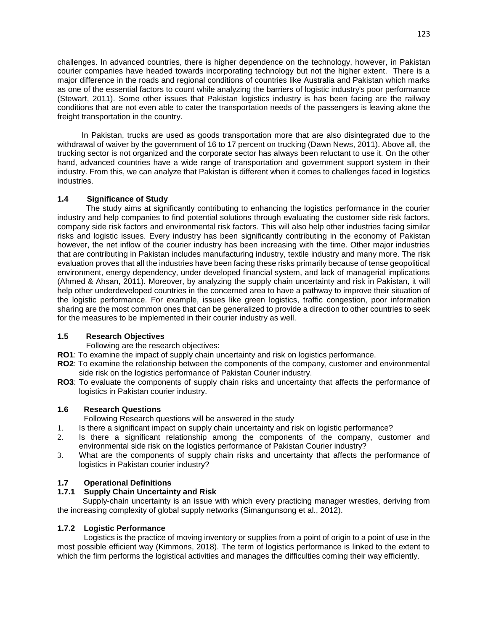challenges. In advanced countries, there is higher dependence on the technology, however, in Pakistan courier companies have headed towards incorporating technology but not the higher extent. There is a major difference in the roads and regional conditions of countries like Australia and Pakistan which marks as one of the essential factors to count while analyzing the barriers of logistic industry's poor performance (Stewart, 2011). Some other issues that Pakistan logistics industry is has been facing are the railway conditions that are not even able to cater the transportation needs of the passengers is leaving alone the freight transportation in the country.

 In Pakistan, trucks are used as goods transportation more that are also disintegrated due to the withdrawal of waiver by the government of 16 to 17 percent on trucking (Dawn News, 2011). Above all, the trucking sector is not organized and the corporate sector has always been reluctant to use it. On the other hand, advanced countries have a wide range of transportation and government support system in their industry. From this, we can analyze that Pakistan is different when it comes to challenges faced in logistics industries.

# **1.4 Significance of Study**

 The study aims at significantly contributing to enhancing the logistics performance in the courier industry and help companies to find potential solutions through evaluating the customer side risk factors, company side risk factors and environmental risk factors. This will also help other industries facing similar risks and logistic issues. Every industry has been significantly contributing in the economy of Pakistan however, the net inflow of the courier industry has been increasing with the time. Other major industries that are contributing in Pakistan includes manufacturing industry, textile industry and many more. The risk evaluation proves that all the industries have been facing these risks primarily because of tense geopolitical environment, energy dependency, under developed financial system, and lack of managerial implications (Ahmed & Ahsan, 2011). Moreover, by analyzing the supply chain uncertainty and risk in Pakistan, it will help other underdeveloped countries in the concerned area to have a pathway to improve their situation of the logistic performance. For example, issues like green logistics, traffic congestion, poor information sharing are the most common ones that can be generalized to provide a direction to other countries to seek for the measures to be implemented in their courier industry as well.

## **1.5 Research Objectives**

Following are the research objectives:

- **RO1**: To examine the impact of supply chain uncertainty and risk on logistics performance.
- **RO2**: To examine the relationship between the components of the company, customer and environmental side risk on the logistics performance of Pakistan Courier industry.
- **RO3**: To evaluate the components of supply chain risks and uncertainty that affects the performance of logistics in Pakistan courier industry.

## **1.6 Research Questions**

Following Research questions will be answered in the study

- 1. Is there a significant impact on supply chain uncertainty and risk on logistic performance?
- 2. Is there a significant relationship among the components of the company, customer and environmental side risk on the logistics performance of Pakistan Courier industry?
- 3. What are the components of supply chain risks and uncertainty that affects the performance of logistics in Pakistan courier industry?

# **1.7 Operational Definitions**

# **1.7.1 Supply Chain Uncertainty and Risk**

 Supply-chain uncertainty is an issue with which every practicing manager wrestles, deriving from the increasing complexity of global supply networks (Simangunsong et al., 2012).

## **1.7.2 Logistic Performance**

 Logistics is the practice of moving inventory or supplies from a point of origin to a point of use in the most possible efficient way (Kimmons, 2018). The term of logistics performance is linked to the extent to which the firm performs the logistical activities and manages the difficulties coming their way efficiently.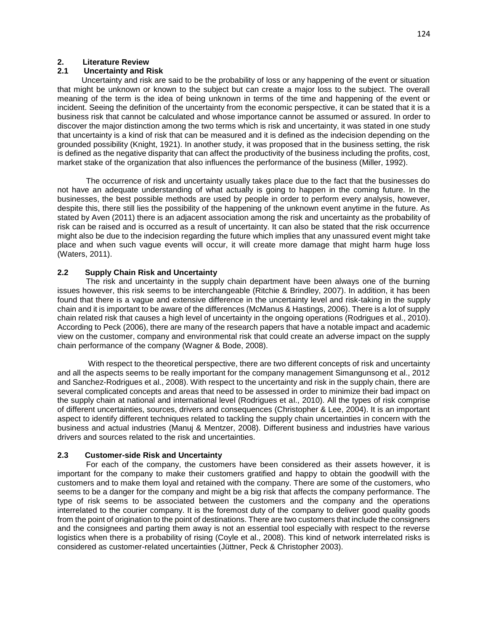### **2. Literature Review**

# **2.1 Uncertainty and Risk**

 Uncertainty and risk are said to be the probability of loss or any happening of the event or situation that might be unknown or known to the subject but can create a major loss to the subject. The overall meaning of the term is the idea of being unknown in terms of the time and happening of the event or incident. Seeing the definition of the uncertainty from the economic perspective, it can be stated that it is a business risk that cannot be calculated and whose importance cannot be assumed or assured. In order to discover the major distinction among the two terms which is risk and uncertainty, it was stated in one study that uncertainty is a kind of risk that can be measured and it is defined as the indecision depending on the grounded possibility (Knight, 1921). In another study, it was proposed that in the business setting, the risk is defined as the negative disparity that can affect the productivity of the business including the profits, cost, market stake of the organization that also influences the performance of the business (Miller, 1992).

The occurrence of risk and uncertainty usually takes place due to the fact that the businesses do not have an adequate understanding of what actually is going to happen in the coming future. In the businesses, the best possible methods are used by people in order to perform every analysis, however, despite this, there still lies the possibility of the happening of the unknown event anytime in the future. As stated by Aven (2011) there is an adjacent association among the risk and uncertainty as the probability of risk can be raised and is occurred as a result of uncertainty. It can also be stated that the risk occurrence might also be due to the indecision regarding the future which implies that any unassured event might take place and when such vague events will occur, it will create more damage that might harm huge loss (Waters, 2011).

# **2.2 Supply Chain Risk and Uncertainty**

The risk and uncertainty in the supply chain department have been always one of the burning issues however, this risk seems to be interchangeable (Ritchie & Brindley, 2007). In addition, it has been found that there is a vague and extensive difference in the uncertainty level and risk-taking in the supply chain and it is important to be aware of the differences (McManus & Hastings, 2006). There is a lot of supply chain related risk that causes a high level of uncertainty in the ongoing operations (Rodrigues et al., 2010). According to Peck (2006), there are many of the research papers that have a notable impact and academic view on the customer, company and environmental risk that could create an adverse impact on the supply chain performance of the company (Wagner & Bode, 2008).

With respect to the theoretical perspective, there are two different concepts of risk and uncertainty and all the aspects seems to be really important for the company management Simangunsong et al., 2012 and Sanchez-Rodrigues et al., 2008). With respect to the uncertainty and risk in the supply chain, there are several complicated concepts and areas that need to be assessed in order to minimize their bad impact on the supply chain at national and international level (Rodrigues et al., 2010). All the types of risk comprise of different uncertainties, sources, drivers and consequences (Christopher & Lee, 2004). It is an important aspect to identify different techniques related to tackling the supply chain uncertainties in concern with the business and actual industries (Manuj & Mentzer, 2008). Different business and industries have various drivers and sources related to the risk and uncertainties.

## **2.3 Customer-side Risk and Uncertainty**

For each of the company, the customers have been considered as their assets however, it is important for the company to make their customers gratified and happy to obtain the goodwill with the customers and to make them loyal and retained with the company. There are some of the customers, who seems to be a danger for the company and might be a big risk that affects the company performance. The type of risk seems to be associated between the customers and the company and the operations interrelated to the courier company. It is the foremost duty of the company to deliver good quality goods from the point of origination to the point of destinations. There are two customers that include the consigners and the consignees and parting them away is not an essential tool especially with respect to the reverse logistics when there is a probability of rising (Coyle et al., 2008). This kind of network interrelated risks is considered as customer-related uncertainties (Jüttner, Peck & Christopher 2003).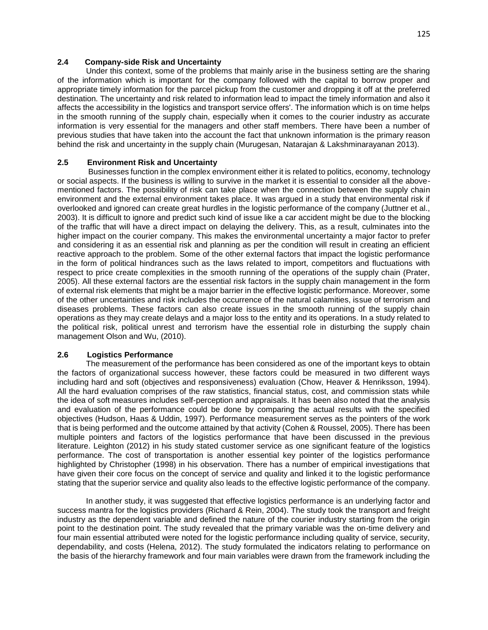# **2.4 Company-side Risk and Uncertainty**

Under this context, some of the problems that mainly arise in the business setting are the sharing of the information which is important for the company followed with the capital to borrow proper and appropriate timely information for the parcel pickup from the customer and dropping it off at the preferred destination. The uncertainty and risk related to information lead to impact the timely information and also it affects the accessibility in the logistics and transport service offers'. The information which is on time helps in the smooth running of the supply chain, especially when it comes to the courier industry as accurate information is very essential for the managers and other staff members. There have been a number of previous studies that have taken into the account the fact that unknown information is the primary reason behind the risk and uncertainty in the supply chain (Murugesan, Natarajan & Lakshminarayanan 2013).

## **2.5 Environment Risk and Uncertainty**

Businesses function in the complex environment either it is related to politics, economy, technology or social aspects. If the business is willing to survive in the market it is essential to consider all the abovementioned factors. The possibility of risk can take place when the connection between the supply chain environment and the external environment takes place. It was argued in a study that environmental risk if overlooked and ignored can create great hurdles in the logistic performance of the company (Juttner et al., 2003). It is difficult to ignore and predict such kind of issue like a car accident might be due to the blocking of the traffic that will have a direct impact on delaying the delivery. This, as a result, culminates into the higher impact on the courier company. This makes the environmental uncertainty a major factor to prefer and considering it as an essential risk and planning as per the condition will result in creating an efficient reactive approach to the problem. Some of the other external factors that impact the logistic performance in the form of political hindrances such as the laws related to import, competitors and fluctuations with respect to price create complexities in the smooth running of the operations of the supply chain (Prater, 2005). All these external factors are the essential risk factors in the supply chain management in the form of external risk elements that might be a major barrier in the effective logistic performance. Moreover, some of the other uncertainties and risk includes the occurrence of the natural calamities, issue of terrorism and diseases problems. These factors can also create issues in the smooth running of the supply chain operations as they may create delays and a major loss to the entity and its operations. In a study related to the political risk, political unrest and terrorism have the essential role in disturbing the supply chain management Olson and Wu, (2010).

## **2.6 Logistics Performance**

The measurement of the performance has been considered as one of the important keys to obtain the factors of organizational success however, these factors could be measured in two different ways including hard and soft (objectives and responsiveness) evaluation (Chow, Heaver & Henriksson, 1994). All the hard evaluation comprises of the raw statistics, financial status, cost, and commission stats while the idea of soft measures includes self-perception and appraisals. It has been also noted that the analysis and evaluation of the performance could be done by comparing the actual results with the specified objectives (Hudson, Haas & Uddin, 1997). Performance measurement serves as the pointers of the work that is being performed and the outcome attained by that activity (Cohen & Roussel, 2005). There has been multiple pointers and factors of the logistics performance that have been discussed in the previous literature. Leighton (2012) in his study stated customer service as one significant feature of the logistics performance. The cost of transportation is another essential key pointer of the logistics performance highlighted by Christopher (1998) in his observation. There has a number of empirical investigations that have given their core focus on the concept of service and quality and linked it to the logistic performance stating that the superior service and quality also leads to the effective logistic performance of the company.

 In another study, it was suggested that effective logistics performance is an underlying factor and success mantra for the logistics providers (Richard & Rein, 2004). The study took the transport and freight industry as the dependent variable and defined the nature of the courier industry starting from the origin point to the destination point. The study revealed that the primary variable was the on-time delivery and four main essential attributed were noted for the logistic performance including quality of service, security, dependability, and costs (Helena, 2012). The study formulated the indicators relating to performance on the basis of the hierarchy framework and four main variables were drawn from the framework including the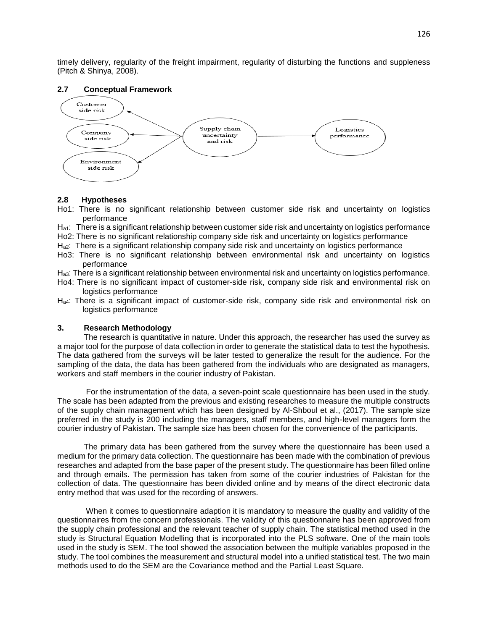timely delivery, regularity of the freight impairment, regularity of disturbing the functions and suppleness (Pitch & Shinya, 2008).

### **2.7 Conceptual Framework**



#### **2.8 Hypotheses**

Ho1: There is no significant relationship between customer side risk and uncertainty on logistics performance

 $H_{a1}$ : There is a significant relationship between customer side risk and uncertainty on logistics performance

Ho2: There is no significant relationship company side risk and uncertainty on logistics performance

Ha2: There is a significant relationship company side risk and uncertainty on logistics performance

Ho3: There is no significant relationship between environmental risk and uncertainty on logistics performance

Ha3: There is a significant relationship between environmental risk and uncertainty on logistics performance.

- Ho4: There is no significant impact of customer-side risk, company side risk and environmental risk on logistics performance
- Ha4: There is a significant impact of customer-side risk, company side risk and environmental risk on logistics performance

## **3. Research Methodology**

 The research is quantitative in nature. Under this approach, the researcher has used the survey as a major tool for the purpose of data collection in order to generate the statistical data to test the hypothesis. The data gathered from the surveys will be later tested to generalize the result for the audience. For the sampling of the data, the data has been gathered from the individuals who are designated as managers, workers and staff members in the courier industry of Pakistan.

 For the instrumentation of the data, a seven-point scale questionnaire has been used in the study. The scale has been adapted from the previous and existing researches to measure the multiple constructs of the supply chain management which has been designed by Al-Shboul et al., (2017). The sample size preferred in the study is 200 including the managers, staff members, and high-level managers form the courier industry of Pakistan. The sample size has been chosen for the convenience of the participants.

 The primary data has been gathered from the survey where the questionnaire has been used a medium for the primary data collection. The questionnaire has been made with the combination of previous researches and adapted from the base paper of the present study. The questionnaire has been filled online and through emails. The permission has taken from some of the courier industries of Pakistan for the collection of data. The questionnaire has been divided online and by means of the direct electronic data entry method that was used for the recording of answers.

 When it comes to questionnaire adaption it is mandatory to measure the quality and validity of the questionnaires from the concern professionals. The validity of this questionnaire has been approved from the supply chain professional and the relevant teacher of supply chain. The statistical method used in the study is Structural Equation Modelling that is incorporated into the PLS software. One of the main tools used in the study is SEM. The tool showed the association between the multiple variables proposed in the study. The tool combines the measurement and structural model into a unified statistical test. The two main methods used to do the SEM are the Covariance method and the Partial Least Square.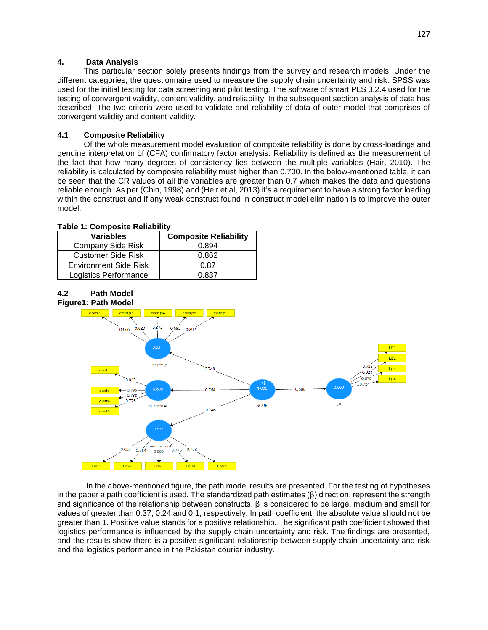# **4. Data Analysis**

 This particular section solely presents findings from the survey and research models. Under the different categories, the questionnaire used to measure the supply chain uncertainty and risk. SPSS was used for the initial testing for data screening and pilot testing. The software of smart PLS 3.2.4 used for the testing of convergent validity, content validity, and reliability. In the subsequent section analysis of data has described. The two criteria were used to validate and reliability of data of outer model that comprises of convergent validity and content validity.

# **4.1 Composite Reliability**

 Of the whole measurement model evaluation of composite reliability is done by cross-loadings and genuine interpretation of (CFA) confirmatory factor analysis. Reliability is defined as the measurement of the fact that how many degrees of consistency lies between the multiple variables (Hair, 2010). The reliability is calculated by composite reliability must higher than 0.700. In the below-mentioned table, it can be seen that the CR values of all the variables are greater than 0.7 which makes the data and questions reliable enough. As per (Chin, 1998) and (Heir et al, 2013) it's a requirement to have a strong factor loading within the construct and if any weak construct found in construct model elimination is to improve the outer model.

## **Table 1: Composite Reliability**

| <b>Variables</b>             | <b>Composite Reliability</b> |
|------------------------------|------------------------------|
| <b>Company Side Risk</b>     | 0.894                        |
| <b>Customer Side Risk</b>    | 0.862                        |
| <b>Environment Side Risk</b> | 0.87                         |
| Logistics Performance        | በ ጸ37                        |

#### **4.2 Path Model Figure1: Path Model**



In the above-mentioned figure, the path model results are presented. For the testing of hypotheses in the paper a path coefficient is used. The standardized path estimates  $(\beta)$  direction, represent the strength and significance of the relationship between constructs. β is considered to be large, medium and small for values of greater than 0.37, 0.24 and 0.1, respectively. In path coefficient, the absolute value should not be greater than 1. Positive value stands for a positive relationship. The significant path coefficient showed that logistics performance is influenced by the supply chain uncertainty and risk. The findings are presented, and the results show there is a positive significant relationship between supply chain uncertainty and risk and the logistics performance in the Pakistan courier industry.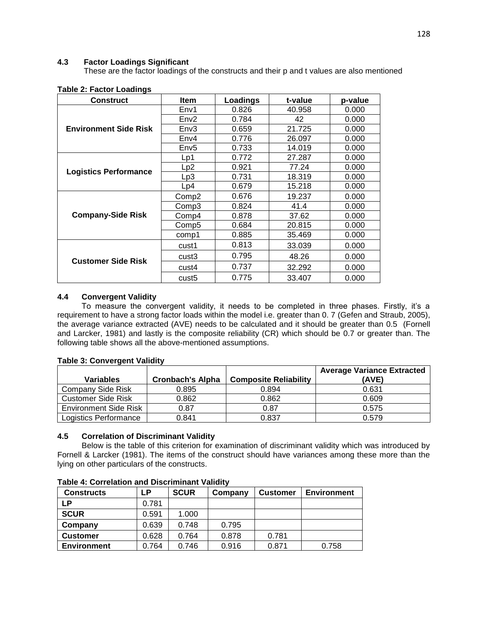## **4.3 Factor Loadings Significant**

These are the factor loadings of the constructs and their p and t values are also mentioned

| <b>Construct</b>             | <b>Item</b>       | Loadings | t-value | p-value |
|------------------------------|-------------------|----------|---------|---------|
| <b>Environment Side Risk</b> | Env1              | 0.826    | 40.958  | 0.000   |
|                              | Env2              | 0.784    | 42      | 0.000   |
|                              | Env <sub>3</sub>  | 0.659    | 21.725  | 0.000   |
|                              | Env4              | 0.776    | 26.097  | 0.000   |
|                              | Env <sub>5</sub>  | 0.733    | 14.019  | 0.000   |
|                              | Lp1               | 0.772    | 27.287  | 0.000   |
|                              | Lp2               | 0.921    | 77.24   | 0.000   |
| <b>Logistics Performance</b> | Lp3               | 0.731    | 18.319  | 0.000   |
|                              | Lp4               | 0.679    | 15.218  | 0.000   |
| <b>Company-Side Risk</b>     | Comp <sub>2</sub> | 0.676    | 19.237  | 0.000   |
|                              | Comp3             | 0.824    | 41.4    | 0.000   |
|                              | Comp4             | 0.878    | 37.62   | 0.000   |
|                              | Comp5             | 0.684    | 20.815  | 0.000   |
|                              | comp1             | 0.885    | 35.469  | 0.000   |
| <b>Customer Side Risk</b>    | cust1             | 0.813    | 33.039  | 0.000   |
|                              | cust3             | 0.795    | 48.26   | 0.000   |
|                              | cust4             | 0.737    | 32.292  | 0.000   |
|                              | cust5             | 0.775    | 33.407  | 0.000   |

#### **Table 2: Factor Loadings**

## **4.4 Convergent Validity**

 To measure the convergent validity, it needs to be completed in three phases. Firstly, it's a requirement to have a strong factor loads within the model i.e. greater than 0. 7 (Gefen and Straub, 2005), the average variance extracted (AVE) needs to be calculated and it should be greater than 0.5 (Fornell and Larcker, 1981) and lastly is the composite reliability (CR) which should be 0.7 or greater than. The following table shows all the above-mentioned assumptions.

### **Table 3: Convergent Validity**

|                              |                         |                              | <b>Average Variance Extracted</b> |
|------------------------------|-------------------------|------------------------------|-----------------------------------|
| <b>Variables</b>             | <b>Cronbach's Alpha</b> | <b>Composite Reliability</b> | (AVE)                             |
| <b>Company Side Risk</b>     | 0.895                   | 0.894                        | 0.631                             |
| <b>Customer Side Risk</b>    | 0.862                   | 0.862                        | 0.609                             |
| <b>Environment Side Risk</b> | 0.87                    | 0.87                         | 0.575                             |
| Logistics Performance        | 0.841                   | 0.837                        | 0.579                             |

#### **4.5 Correlation of Discriminant Validity**

 Below is the table of this criterion for examination of discriminant validity which was introduced by Fornell & Larcker (1981). The items of the construct should have variances among these more than the lying on other particulars of the constructs.

| <b>Constructs</b>  | LΡ    | <b>SCUR</b> | Company | <b>Customer</b> | <b>Environment</b> |
|--------------------|-------|-------------|---------|-----------------|--------------------|
| <b>LP</b>          | 0.781 |             |         |                 |                    |
| <b>SCUR</b>        | 0.591 | 1.000       |         |                 |                    |
| Company            | 0.639 | 0.748       | 0.795   |                 |                    |
| <b>Customer</b>    | 0.628 | 0.764       | 0.878   | 0.781           |                    |
| <b>Environment</b> | 0.764 | 0.746       | 0.916   | 0.871           | 0.758              |

#### **Table 4: Correlation and Discriminant Validity**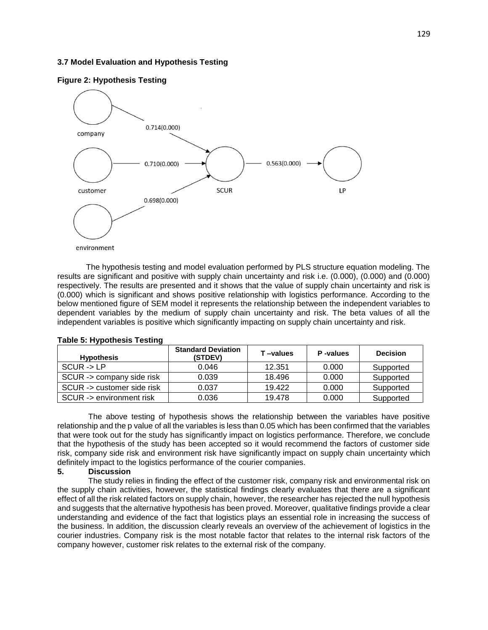### **3.7 Model Evaluation and Hypothesis Testing**



**Figure 2: Hypothesis Testing**

 The hypothesis testing and model evaluation performed by PLS structure equation modeling. The results are significant and positive with supply chain uncertainty and risk i.e. (0.000), (0.000) and (0.000) respectively. The results are presented and it shows that the value of supply chain uncertainty and risk is (0.000) which is significant and shows positive relationship with logistics performance. According to the below mentioned figure of SEM model it represents the relationship between the independent variables to dependent variables by the medium of supply chain uncertainty and risk. The beta values of all the independent variables is positive which significantly impacting on supply chain uncertainty and risk.

| <b>Hypothesis</b>          | <b>Standard Deviation</b><br>(STDEV) | T-values | P-values | <b>Decision</b> |
|----------------------------|--------------------------------------|----------|----------|-----------------|
| $SCUR - D LP$              | 0.046                                | 12.351   | 0.000    | Supported       |
| SCUR -> company side risk  | 0.039                                | 18.496   | 0.000    | Supported       |
| SCUR -> customer side risk | 0.037                                | 19.422   | 0.000    | Supported       |
| SCUR -> environment risk   | 0.036                                | 19.478   | 0.000    | Supported       |

#### **Table 5: Hypothesis Testing**

 The above testing of hypothesis shows the relationship between the variables have positive relationship and the p value of all the variables is less than 0.05 which has been confirmed that the variables that were took out for the study has significantly impact on logistics performance. Therefore, we conclude that the hypothesis of the study has been accepted so it would recommend the factors of customer side risk, company side risk and environment risk have significantly impact on supply chain uncertainty which definitely impact to the logistics performance of the courier companies.

# **5. Discussion**

 The study relies in finding the effect of the customer risk, company risk and environmental risk on the supply chain activities, however, the statistical findings clearly evaluates that there are a significant effect of all the risk related factors on supply chain, however, the researcher has rejected the null hypothesis and suggests that the alternative hypothesis has been proved. Moreover, qualitative findings provide a clear understanding and evidence of the fact that logistics plays an essential role in increasing the success of the business. In addition, the discussion clearly reveals an overview of the achievement of logistics in the courier industries. Company risk is the most notable factor that relates to the internal risk factors of the company however, customer risk relates to the external risk of the company.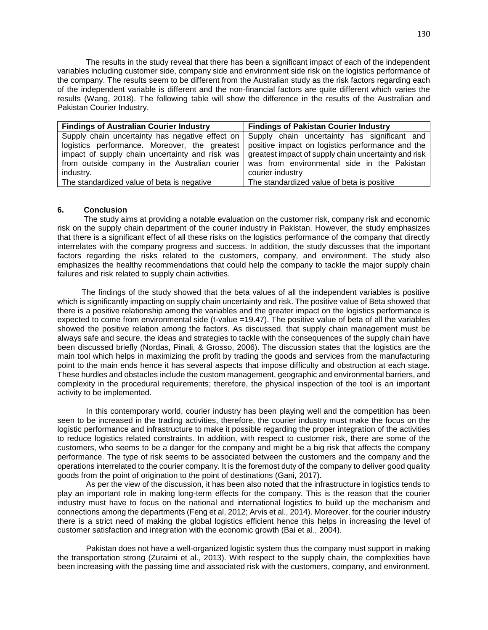The results in the study reveal that there has been a significant impact of each of the independent variables including customer side, company side and environment side risk on the logistics performance of the company. The results seem to be different from the Australian study as the risk factors regarding each of the independent variable is different and the non-financial factors are quite different which varies the results (Wang, 2018). The following table will show the difference in the results of the Australian and Pakistan Courier Industry.

| <b>Findings of Australian Courier Industry</b>  | <b>Findings of Pakistan Courier Industry</b>         |
|-------------------------------------------------|------------------------------------------------------|
| Supply chain uncertainty has negative effect on | Supply chain uncertainty has significant and         |
| logistics performance. Moreover, the greatest   | positive impact on logistics performance and the     |
| impact of supply chain uncertainty and risk was | greatest impact of supply chain uncertainty and risk |
| from outside company in the Australian courier  | was from environmental side in the Pakistan          |
| industry.                                       | courier industry                                     |
| The standardized value of beta is negative      | The standardized value of beta is positive           |

#### **6. Conclusion**

 The study aims at providing a notable evaluation on the customer risk, company risk and economic risk on the supply chain department of the courier industry in Pakistan. However, the study emphasizes that there is a significant effect of all these risks on the logistics performance of the company that directly interrelates with the company progress and success. In addition, the study discusses that the important factors regarding the risks related to the customers, company, and environment. The study also emphasizes the healthy recommendations that could help the company to tackle the major supply chain failures and risk related to supply chain activities.

 The findings of the study showed that the beta values of all the independent variables is positive which is significantly impacting on supply chain uncertainty and risk. The positive value of Beta showed that there is a positive relationship among the variables and the greater impact on the logistics performance is expected to come from environmental side (t-value =19.47). The positive value of beta of all the variables showed the positive relation among the factors. As discussed, that supply chain management must be always safe and secure, the ideas and strategies to tackle with the consequences of the supply chain have been discussed briefly (Nordas, Pinali, & Grosso, 2006). The discussion states that the logistics are the main tool which helps in maximizing the profit by trading the goods and services from the manufacturing point to the main ends hence it has several aspects that impose difficulty and obstruction at each stage. These hurdles and obstacles include the custom management, geographic and environmental barriers, and complexity in the procedural requirements; therefore, the physical inspection of the tool is an important activity to be implemented.

In this contemporary world, courier industry has been playing well and the competition has been seen to be increased in the trading activities, therefore, the courier industry must make the focus on the logistic performance and infrastructure to make it possible regarding the proper integration of the activities to reduce logistics related constraints. In addition, with respect to customer risk, there are some of the customers, who seems to be a danger for the company and might be a big risk that affects the company performance. The type of risk seems to be associated between the customers and the company and the operations interrelated to the courier company. It is the foremost duty of the company to deliver good quality goods from the point of origination to the point of destinations (Gani, 2017).

As per the view of the discussion, it has been also noted that the infrastructure in logistics tends to play an important role in making long-term effects for the company. This is the reason that the courier industry must have to focus on the national and international logistics to build up the mechanism and connections among the departments (Feng et al, 2012; Arvis et al., 2014). Moreover, for the courier industry there is a strict need of making the global logistics efficient hence this helps in increasing the level of customer satisfaction and integration with the economic growth (Bai et al., 2004).

Pakistan does not have a well-organized logistic system thus the company must support in making the transportation strong (Zuraimi et al., 2013). With respect to the supply chain, the complexities have been increasing with the passing time and associated risk with the customers, company, and environment.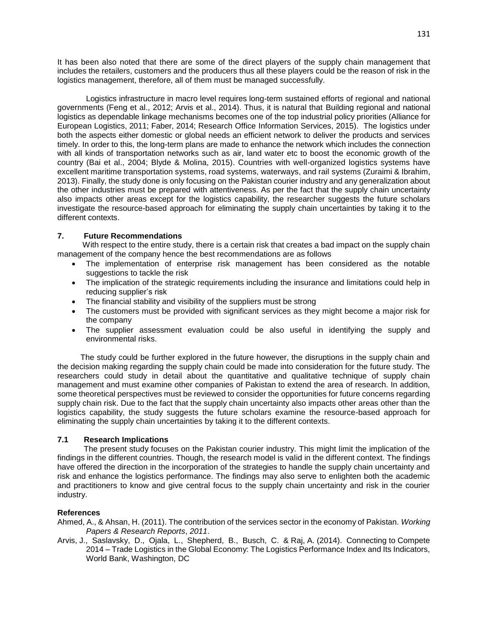It has been also noted that there are some of the direct players of the supply chain management that includes the retailers, customers and the producers thus all these players could be the reason of risk in the logistics management, therefore, all of them must be managed successfully.

Logistics infrastructure in macro level requires long-term sustained efforts of regional and national governments (Feng et al., 2012; Arvis et al., 2014). Thus, it is natural that Building regional and national logistics as dependable linkage mechanisms becomes one of the top industrial policy priorities (Alliance for European Logistics, 2011; Faber, 2014; Research Office Information Services, 2015). The logistics under both the aspects either domestic or global needs an efficient network to deliver the products and services timely. In order to this, the long-term plans are made to enhance the network which includes the connection with all kinds of transportation networks such as air, land water etc to boost the economic growth of the country (Bai et al., 2004; Blyde & Molina, 2015). Countries with well-organized logistics systems have excellent maritime transportation systems, road systems, waterways, and rail systems (Zuraimi & Ibrahim, 2013). Finally, the study done is only focusing on the Pakistan courier industry and any generalization about the other industries must be prepared with attentiveness. As per the fact that the supply chain uncertainty also impacts other areas except for the logistics capability, the researcher suggests the future scholars investigate the resource-based approach for eliminating the supply chain uncertainties by taking it to the different contexts.

# **7. Future Recommendations**

 With respect to the entire study, there is a certain risk that creates a bad impact on the supply chain management of the company hence the best recommendations are as follows

- The implementation of enterprise risk management has been considered as the notable suggestions to tackle the risk
- The implication of the strategic requirements including the insurance and limitations could help in reducing supplier's risk
- The financial stability and visibility of the suppliers must be strong
- The customers must be provided with significant services as they might become a major risk for the company
- The supplier assessment evaluation could be also useful in identifying the supply and environmental risks.

 The study could be further explored in the future however, the disruptions in the supply chain and the decision making regarding the supply chain could be made into consideration for the future study. The researchers could study in detail about the quantitative and qualitative technique of supply chain management and must examine other companies of Pakistan to extend the area of research. In addition, some theoretical perspectives must be reviewed to consider the opportunities for future concerns regarding supply chain risk. Due to the fact that the supply chain uncertainty also impacts other areas other than the logistics capability, the study suggests the future scholars examine the resource-based approach for eliminating the supply chain uncertainties by taking it to the different contexts.

## **7.1 Research Implications**

 The present study focuses on the Pakistan courier industry. This might limit the implication of the findings in the different countries. Though, the research model is valid in the different context. The findings have offered the direction in the incorporation of the strategies to handle the supply chain uncertainty and risk and enhance the logistics performance. The findings may also serve to enlighten both the academic and practitioners to know and give central focus to the supply chain uncertainty and risk in the courier industry.

# **References**

- Ahmed, A., & Ahsan, H. (2011). The contribution of the services sector in the economy of Pakistan. *Working Papers & Research Reports*, *2011*.
- Arvis, J., Saslavsky, D., Ojala, L., Shepherd, B., Busch, C. & Raj, A. (2014). Connecting to Compete 2014 – Trade Logistics in the Global Economy: The Logistics Performance Index and Its Indicators, World Bank, Washington, DC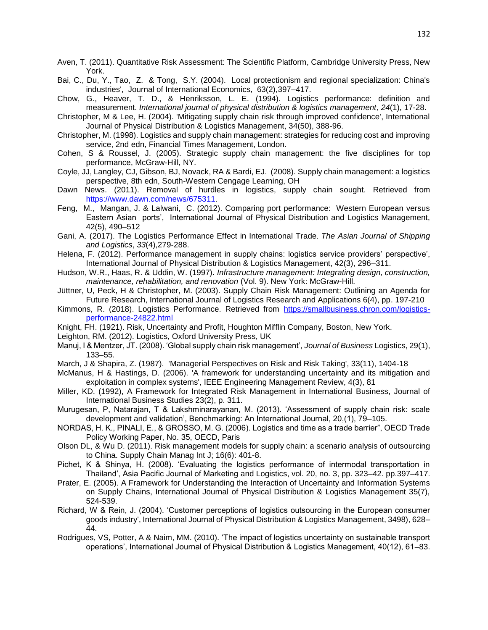- Aven, T. (2011). Quantitative Risk Assessment: The Scientific Platform, Cambridge University Press, New York.
- Bai, C., Du, Y., Tao, Z. & Tong, S.Y. (2004). Local protectionism and regional specialization: China's industries', Journal of International Economics, 63(2),397–417.
- Chow, G., Heaver, T. D., & Henriksson, L. E. (1994). Logistics performance: definition and measurement. *International journal of physical distribution & logistics management*, *24*(1), 17-28.
- Christopher, M & Lee, H. (2004). 'Mitigating supply chain risk through improved confidence', International Journal of Physical Distribution & Logistics Management, 34(50), 388-96.
- Christopher, M. (1998). Logistics and supply chain management: strategies for reducing cost and improving service, 2nd edn, Financial Times Management, London.
- Cohen, S & Roussel, J. (2005). Strategic supply chain management: the five disciplines for top performance, McGraw-Hill, NY.
- Coyle, JJ, Langley, CJ, Gibson, BJ, Novack, RA & Bardi, EJ. (2008). Supply chain management: a logistics perspective, 8th edn, South-Western Cengage Learning, OH
- Dawn News. (2011). Removal of hurdles in logistics, supply chain sought. Retrieved from [https://www.dawn.com/news/675311.](https://www.dawn.com/news/675311)
- Feng, M., Mangan, J. & Lalwani, C. (2012). Comparing port performance: Western European versus Eastern Asian ports', International Journal of Physical Distribution and Logistics Management, 42(5), 490–512
- Gani, A. (2017). The Logistics Performance Effect in International Trade. *The Asian Journal of Shipping and Logistics*, *33*(4),279-288.
- Helena, F. (2012). Performance management in supply chains: logistics service providers' perspective', International Journal of Physical Distribution & Logistics Management, 42(3), 296–311.
- Hudson, W.R., Haas, R. & Uddin, W. (1997). *Infrastructure management: Integrating design, construction, maintenance, rehabilitation, and renovation* (Vol. 9). New York: McGraw-Hill.
- Jüttner, U, Peck, H & Christopher, M. (2003). Supply Chain Risk Management: Outlining an Agenda for Future Research, International Journal of Logistics Research and Applications 6(4), pp. 197-210
- Kimmons, R. (2018). Logistics Performance. Retrieved from [https://smallbusiness.chron.com/logistics](https://smallbusiness.chron.com/logistics-performance-24822.html)[performance-24822.html](https://smallbusiness.chron.com/logistics-performance-24822.html)
- Knight, FH. (1921). Risk, Uncertainty and Profit, Houghton Mifflin Company, Boston, New York.
- Leighton, RM. (2012). Logistics, Oxford University Press, UK
- Manuj, I & Mentzer, JT. (2008). 'Global supply chain risk management', *Journal of Business* Logistics, 29(1), 133–55.
- March, J & Shapira, Z. (1987). 'Managerial Perspectives on Risk and Risk Taking', 33(11), 1404-18
- McManus, H & Hastings, D. (2006). 'A framework for understanding uncertainty and its mitigation and exploitation in complex systems', IEEE Engineering Management Review, 4(3), 81
- Miller, KD. (1992), A Framework for Integrated Risk Management in International Business, Journal of International Business Studies 23(2), p. 311.
- Murugesan, P, Natarajan, T & Lakshminarayanan, M. (2013). 'Assessment of supply chain risk: scale development and validation', Benchmarking: An International Journal, 20,(1), 79–105.
- NORDAS, H. K., PINALI, E., & GROSSO, M. G. (2006). Logistics and time as a trade barrier", OECD Trade Policy Working Paper, No. 35, OECD, Paris
- Olson DL, & Wu D. (2011). Risk management models for supply chain: a scenario analysis of outsourcing to China. Supply Chain Manag Int J; 16(6): 401-8.
- Pichet, K & Shinya, H. (2008). 'Evaluating the logistics performance of intermodal transportation in Thailand', Asia Pacific Journal of Marketing and Logistics, vol. 20, no. 3, pp. 323–42. pp.397–417.
- Prater, E. (2005). A Framework for Understanding the Interaction of Uncertainty and Information Systems on Supply Chains, International Journal of Physical Distribution & Logistics Management 35(7), 524-539.
- Richard, W & Rein, J. (2004). 'Customer perceptions of logistics outsourcing in the European consumer goods industry', International Journal of Physical Distribution & Logistics Management, 3498), 628– 44.
- Rodrigues, VS, Potter, A & Naim, MM. (2010). 'The impact of logistics uncertainty on sustainable transport operations', International Journal of Physical Distribution & Logistics Management, 40(12), 61–83.